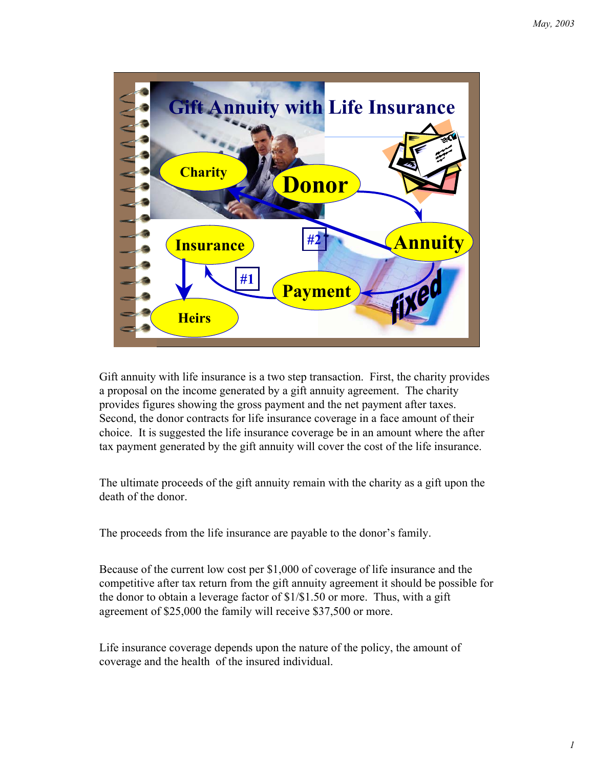

Gift annuity with life insurance is a two step transaction. First, the charity provides a proposal on the income generated by a gift annuity agreement. The charity provides figures showing the gross payment and the net payment after taxes. Second, the donor contracts for life insurance coverage in a face amount of their choice. It is suggested the life insurance coverage be in an amount where the after tax payment generated by the gift annuity will cover the cost of the life insurance.

The ultimate proceeds of the gift annuity remain with the charity as a gift upon the death of the donor.

The proceeds from the life insurance are payable to the donor's family.

Because of the current low cost per \$1,000 of coverage of life insurance and the competitive after tax return from the gift annuity agreement it should be possible for the donor to obtain a leverage factor of \$1/\$1.50 or more. Thus, with a gift agreement of \$25,000 the family will receive \$37,500 or more.

Life insurance coverage depends upon the nature of the policy, the amount of coverage and the health of the insured individual.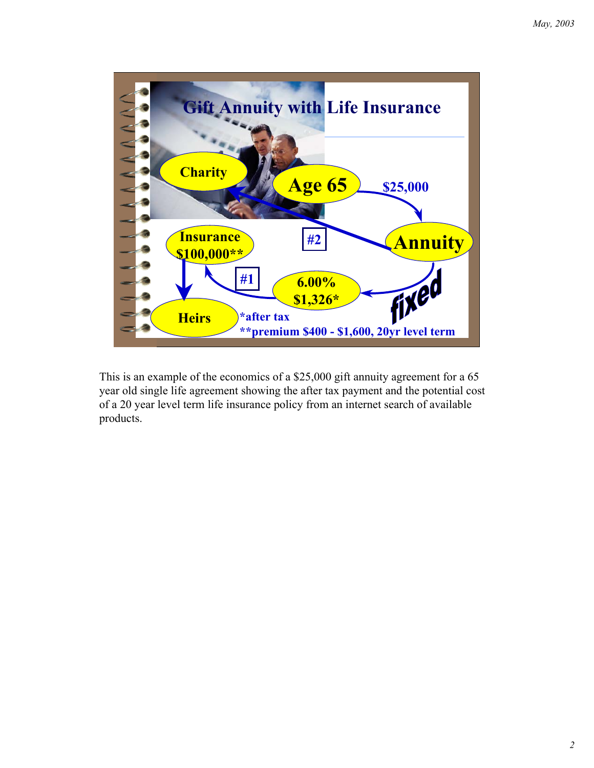

This is an example of the economics of a \$25,000 gift annuity agreement for a 65 year old single life agreement showing the after tax payment and the potential cost of a 20 year level term life insurance policy from an internet search of available products.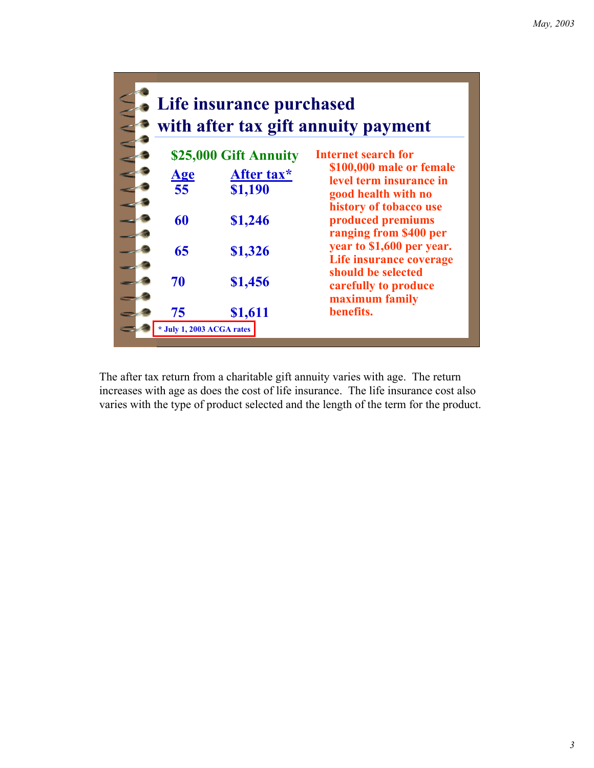

The after tax return from a charitable gift annuity varies with age. The return increases with age as does the cost of life insurance. The life insurance cost also varies with the type of product selected and the length of the term for the product.